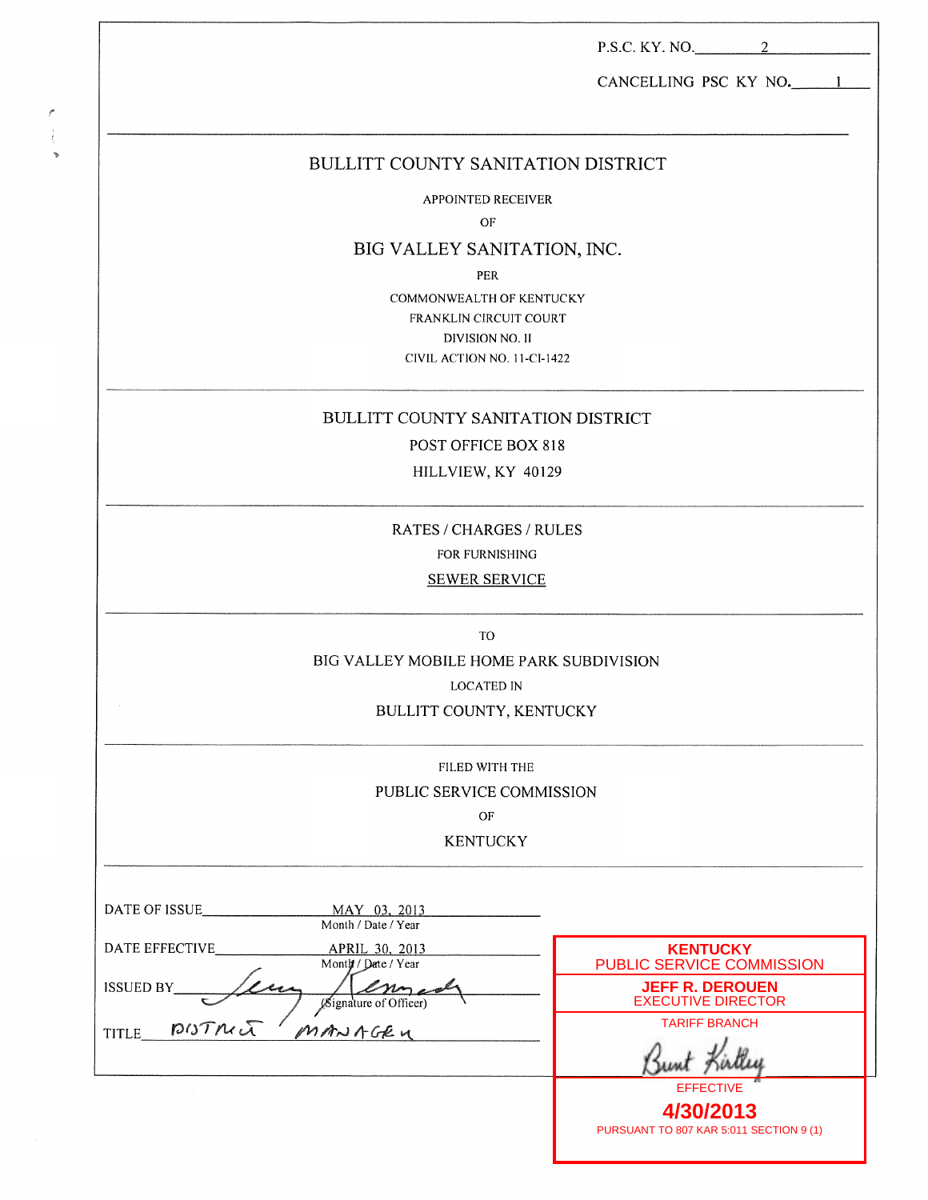|                                                      | P.S.C. KY. NO. 2                                    |
|------------------------------------------------------|-----------------------------------------------------|
|                                                      | CANCELLING PSC KY NO. 1                             |
| BULLITT COUNTY SANITATION DISTRICT                   |                                                     |
| <b>APPOINTED RECEIVER</b>                            |                                                     |
| OF                                                   |                                                     |
| BIG VALLEY SANITATION, INC.                          |                                                     |
| PER                                                  |                                                     |
| COMMONWEALTH OF KENTUCKY                             |                                                     |
| <b>FRANKLIN CIRCUIT COURT</b><br>DIVISION NO. II     |                                                     |
| CIVIL ACTION NO. 11-CI-1422                          |                                                     |
| BULLITT COUNTY SANITATION DISTRICT                   |                                                     |
| POST OFFICE BOX 818                                  |                                                     |
| HILLVIEW, KY 40129                                   |                                                     |
| RATES / CHARGES / RULES                              |                                                     |
| FOR FURNISHING                                       |                                                     |
| <b>SEWER SERVICE</b>                                 |                                                     |
| TO                                                   |                                                     |
| BIG VALLEY MOBILE HOME PARK SUBDIVISION              |                                                     |
| <b>LOCATED IN</b>                                    |                                                     |
| BULLITT COUNTY, KENTUCKY                             |                                                     |
| FILED WITH THE                                       |                                                     |
| PUBLIC SERVICE COMMISSION                            |                                                     |
| OF                                                   |                                                     |
| <b>KENTUCKY</b>                                      |                                                     |
| DATE OF ISSUE<br>MAY 03, 2013<br>Month / Date / Year |                                                     |
| <b>DATE EFFECTIVE</b><br>APRIL 30, 2013              | <b>KENTUCKY</b>                                     |
| Month / Date / Year                                  | PUBLIC SERVICE COMMISSION                           |
| <b>ISSUED BY_</b><br>Bignature of Officer)           | <b>JEFF R. DEROUEN</b><br><b>EXECUTIVE DIRECTOR</b> |
| DISTMc<br>MANAGEN                                    | <b>TARIFF BRANCH</b>                                |
| <b>TITLE</b>                                         | Bunt Kirtle                                         |

 $\mathcal{C}_{\mathcal{C}}$  $\frac{1}{\xi}$ 

 $\mathbf{r}$ 

**EFFECTIVE 4/30/2013** PURSUANT TO 807 KAR 5:011 SECTION 9 (1)